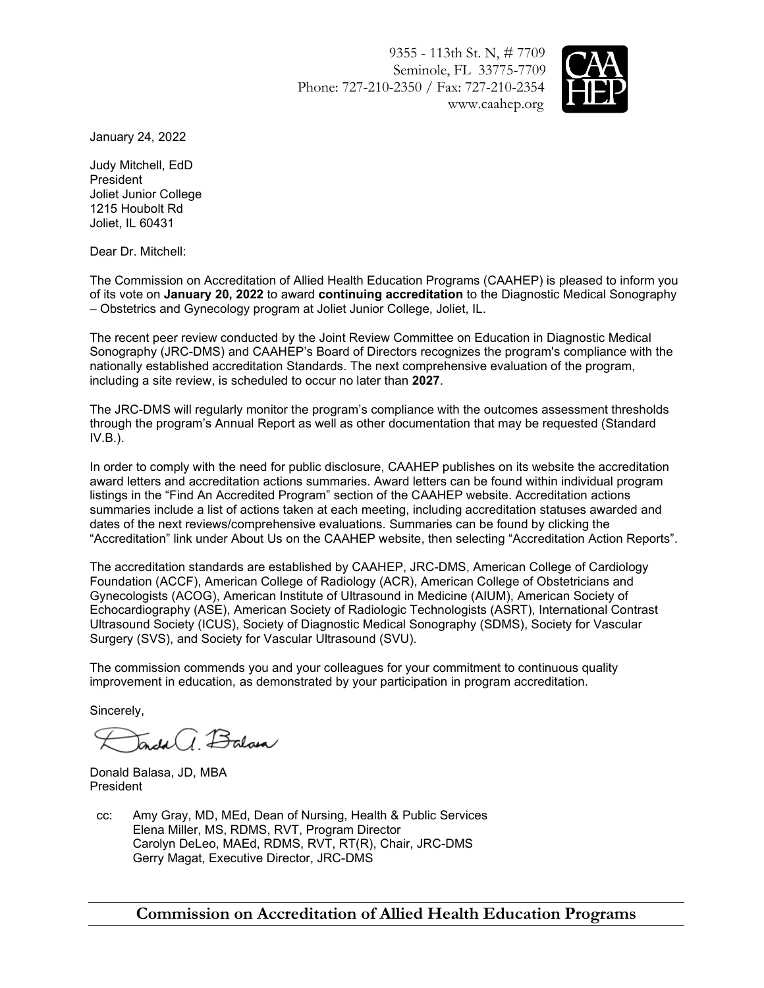9355 - 113th St. N, # 7709 Seminole, FL 33775-7709 Phone: 727-210-2350 / Fax: 727-210-2354 www.caahep.org



January 24, 2022

Judy Mitchell, EdD President Joliet Junior College 1215 Houbolt Rd Joliet, IL 60431

Dear Dr. Mitchell:

The Commission on Accreditation of Allied Health Education Programs (CAAHEP) is pleased to inform you of its vote on **January 20, 2022** to award **continuing accreditation** to the Diagnostic Medical Sonography – Obstetrics and Gynecology program at Joliet Junior College, Joliet, IL.

The recent peer review conducted by the Joint Review Committee on Education in Diagnostic Medical Sonography (JRC-DMS) and CAAHEP's Board of Directors recognizes the program's compliance with the nationally established accreditation Standards. The next comprehensive evaluation of the program, including a site review, is scheduled to occur no later than **2027**.

The JRC-DMS will regularly monitor the program's compliance with the outcomes assessment thresholds through the program's Annual Report as well as other documentation that may be requested (Standard IV.B.).

In order to comply with the need for public disclosure, CAAHEP publishes on its website the accreditation award letters and accreditation actions summaries. Award letters can be found within individual program listings in the "Find An Accredited Program" section of the CAAHEP website. Accreditation actions summaries include a list of actions taken at each meeting, including accreditation statuses awarded and dates of the next reviews/comprehensive evaluations. Summaries can be found by clicking the "Accreditation" link under About Us on the CAAHEP website, then selecting "Accreditation Action Reports".

The accreditation standards are established by CAAHEP, JRC-DMS, American College of Cardiology Foundation (ACCF), American College of Radiology (ACR), American College of Obstetricians and Gynecologists (ACOG), American Institute of Ultrasound in Medicine (AIUM), American Society of Echocardiography (ASE), American Society of Radiologic Technologists (ASRT), International Contrast Ultrasound Society (ICUS), Society of Diagnostic Medical Sonography (SDMS), Society for Vascular Surgery (SVS), and Society for Vascular Ultrasound (SVU).

The commission commends you and your colleagues for your commitment to continuous quality improvement in education, as demonstrated by your participation in program accreditation.

Sincerely,

 $\overline{a}$ dal $\overline{a}$ ,  $\overline{B}$ alam

Donald Balasa, JD, MBA President

cc: Amy Gray, MD, MEd, Dean of Nursing, Health & Public Services Elena Miller, MS, RDMS, RVT, Program Director Carolyn DeLeo, MAEd, RDMS, RVT, RT(R), Chair, JRC-DMS Gerry Magat, Executive Director, JRC-DMS